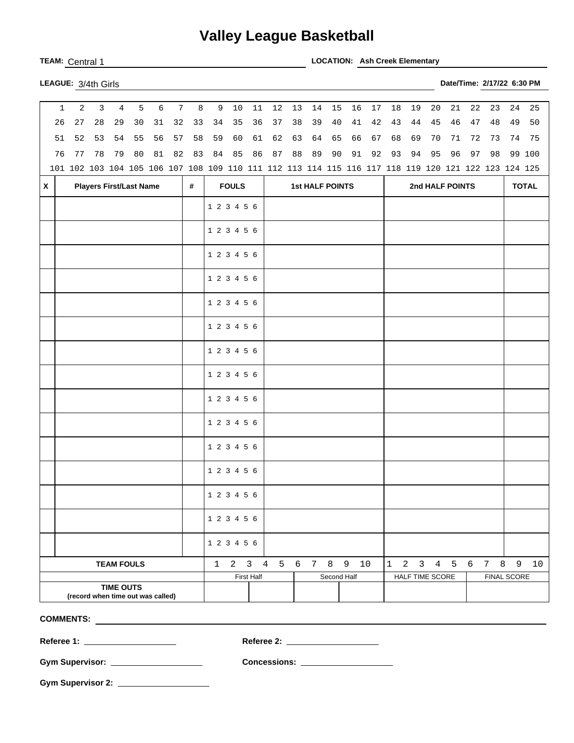## **Valley League Basketball**

**TEAM:** Central 1 **LOCATION: Ash Creek Elementary** 

|  | <b>LEAGUE:</b> $3/4$ th Girls |  |
|--|-------------------------------|--|

| $\mathbf{1}$                                          | $\overline{a}$                                                                                      | 3  | $\overline{4}$                 | 5  | 6  | $7\overline{ }$ | 8  | 9            | $10$         |            | $12$                   |          |          |             |          |          |              |                 |              |          |          |                       | 24 | 25     |
|-------------------------------------------------------|-----------------------------------------------------------------------------------------------------|----|--------------------------------|----|----|-----------------|----|--------------|--------------|------------|------------------------|----------|----------|-------------|----------|----------|--------------|-----------------|--------------|----------|----------|-----------------------|----|--------|
| 26                                                    | 27                                                                                                  | 28 | 29                             | 30 | 31 | 32              | 33 | 34           | 35           | 11<br>36   | 37                     | 13<br>38 | 14<br>39 | 15<br>40    | 16<br>41 | 17<br>42 | 18<br>43     | 19<br>44        | 20<br>45     | 21<br>46 | 22<br>47 | 23<br>48              | 49 | 50     |
| 51                                                    | 52                                                                                                  | 53 | 54                             | 55 | 56 | 57              | 58 | 59           | 60           | 61         | 62                     | 63       | 64       | 65          | 66       | 67       | 68           | 69              | 70           | 71       | 72       | 73                    | 74 | 75     |
| 76                                                    | 77                                                                                                  | 78 | 79                             | 80 | 81 | 82              | 83 | 84           | 85           | 86         | 87                     | 88       | 89       | 90          | 91       | 92       | 93           | 94              | 95           | 96       | 97       | 98                    |    | 99 100 |
|                                                       | 101 102 103 104 105 106 107 108 109 110 111 112 113 114 115 116 117 118 119 120 121 122 123 124 125 |    |                                |    |    |                 |    |              |              |            |                        |          |          |             |          |          |              |                 |              |          |          |                       |    |        |
| $\mathsf{x}$                                          |                                                                                                     |    | <b>Players First/Last Name</b> |    |    |                 | #  |              | <b>FOULS</b> |            | <b>1st HALF POINTS</b> |          |          |             |          |          |              | 2nd HALF POINTS | <b>TOTAL</b> |          |          |                       |    |        |
|                                                       |                                                                                                     |    |                                |    |    |                 |    | 1 2 3 4 5 6  |              |            |                        |          |          |             |          |          |              |                 |              |          |          |                       |    |        |
|                                                       |                                                                                                     |    |                                |    |    |                 |    |              |              |            |                        |          |          |             |          |          |              |                 |              |          |          |                       |    |        |
|                                                       |                                                                                                     |    |                                |    |    |                 |    | 1 2 3 4 5 6  |              |            |                        |          |          |             |          |          |              |                 |              |          |          |                       |    |        |
|                                                       |                                                                                                     |    |                                |    |    |                 |    | 1 2 3 4 5 6  |              |            |                        |          |          |             |          |          |              |                 |              |          |          |                       |    |        |
|                                                       |                                                                                                     |    |                                |    |    |                 |    | 1 2 3 4 5 6  |              |            |                        |          |          |             |          |          |              |                 |              |          |          |                       |    |        |
|                                                       |                                                                                                     |    |                                |    |    |                 |    | 1 2 3 4 5 6  |              |            |                        |          |          |             |          |          |              |                 |              |          |          |                       |    |        |
|                                                       |                                                                                                     |    |                                |    |    |                 |    | 1 2 3 4 5 6  |              |            |                        |          |          |             |          |          |              |                 |              |          |          |                       |    |        |
|                                                       |                                                                                                     |    |                                |    |    |                 |    | 1 2 3 4 5 6  |              |            |                        |          |          |             |          |          |              |                 |              |          |          |                       |    |        |
|                                                       |                                                                                                     |    |                                |    |    |                 |    | 1 2 3 4 5 6  |              |            |                        |          |          |             |          |          |              |                 |              |          |          |                       |    |        |
|                                                       |                                                                                                     |    |                                |    |    |                 |    | 1 2 3 4 5 6  |              |            |                        |          |          |             |          |          |              |                 |              |          |          |                       |    |        |
|                                                       |                                                                                                     |    |                                |    |    |                 |    | 1 2 3 4 5 6  |              |            |                        |          |          |             |          |          |              |                 |              |          |          |                       |    |        |
|                                                       |                                                                                                     |    |                                |    |    |                 |    | 1 2 3 4 5 6  |              |            |                        |          |          |             |          |          |              |                 |              |          |          |                       |    |        |
|                                                       |                                                                                                     |    |                                |    |    |                 |    | 1 2 3 4 5 6  |              |            |                        |          |          |             |          |          |              |                 |              |          |          |                       |    |        |
|                                                       |                                                                                                     |    |                                |    |    |                 |    | 1 2 3 4 5 6  |              |            |                        |          |          |             |          |          |              |                 |              |          |          |                       |    |        |
|                                                       |                                                                                                     |    |                                |    |    |                 |    | 1 2 3 4 5 6  |              |            |                        |          |          |             |          |          |              |                 |              |          |          |                       |    |        |
|                                                       |                                                                                                     |    |                                |    |    |                 |    | 1 2 3 4 5 6  |              |            |                        |          |          |             |          |          |              |                 |              |          |          |                       |    |        |
|                                                       |                                                                                                     |    | <b>TEAM FOULS</b>              |    |    |                 |    | $\mathbf{1}$ | $2 \quad 3$  |            | $4\overline{ }$        | 5 6      | 7 8      |             | 9        | 10       | $\mathbf{1}$ | $2 \quad 3$     |              | 4 5      | 6        | $\boldsymbol{8}$<br>7 | 9  | $10$   |
|                                                       |                                                                                                     |    |                                |    |    |                 |    |              |              | First Half |                        |          |          | Second Half |          |          |              | HALF TIME SCORE |              |          |          | FINAL SCORE           |    |        |
| <b>TIME OUTS</b><br>(record when time out was called) |                                                                                                     |    |                                |    |    |                 |    |              |              |            |                        |          |          |             |          |          |              |                 |              |          |          |                       |    |        |

**COMMENTS:** 

**Referee 1: Referee 2:** 

**Gym Supervisor: Concessions:** 

**Gym Supervisor 2:** 

**LEAGUE:** 3/4th Girls **Date/Time: 2/17/22 6:30 PM**